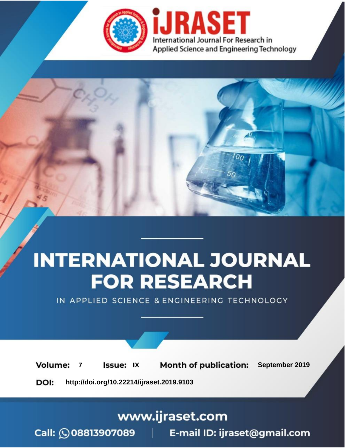

# **INTERNATIONAL JOURNAL FOR RESEARCH**

IN APPLIED SCIENCE & ENGINEERING TECHNOLOGY

**Month of publication: Volume: Issue: IX** September 2019  $\overline{7}$ DOI: http://doi.org/10.22214/ijraset.2019.9103

www.ijraset.com

 $Call: \bigcirc$ 08813907089 E-mail ID: ijraset@gmail.com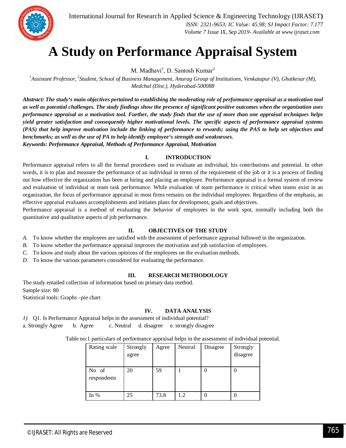

### **A Study on Performance Appraisal System**

M. Madhavi<sup>1</sup>, D. Santosh Kumar<sup>2</sup>

<sup>1</sup> Assistant Professor, <sup>2</sup> Student, School of Business Management, Anurag Group of Institutions, Venkatapur (V), Ghatkesar (M), *Medchal (Dist.), Hyderabad-500088*

*Abstract: The study's main objectives pertained to establishing the moderating role of performance appraisal as a motivation tool as well as potential challenges. The study findings show the presence of significant positive outcomes when the organization uses performance appraisal as a motivation tool. Further, the study finds that the use of more than one appraisal techniques helps yield greater satisfaction and consequently higher motivational levels. The specific aspects of performance appraisal systems (PAS) that help improve motivation include the linking of performance to rewards; using the PAS to help set objectives and benchmarks; as well as the use of PA to help identify employee's strength and weaknesses. Keywords: Performance Appraisal, Methods of Performance Appraisal, Motivation*

#### **I. INTRODUCTION**

Performance appraisal refers to all the formal procedures used to evaluate an individual, his contributions and potential. In other words, it is to plan and measure the performance of an individual in terms of the requirement of the job or it is a process of finding out how effective the organization has been at hiring and placing an employee. Performance appraisal is a formal system of review and evaluation of individual or team task performance. While evaluation of team performance is critical when teams exist in an organization, the focus of performance appraisal in most firms remains on the individual employees. Regardless of the emphasis, an effective appraisal evaluates accomplishments and initiates plans for development, goals and objectives.

Performance appraisal is a method of evaluating the behavior of employees in the work spot, normally including both the quantitative and qualitative aspects of job performance.

#### **II. OBJECTIVES OF THE STUDY**

- *A.* To know whether the employees are satisfied with the assessment of performance appraisal followed in the organization.
- *B.* To know whether the performance appraisal improves the motivation and job satisfaction of employees.
- *C.* To know and study about the various opinions of the employees on the evaluation methods.
- *D.* To know the various parameters considered for evaluating the performance.

#### **III. RESEARCH METHODOLOGY**

The study entailed collection of information based on primary data method. Sample size: 80 Statistical tools: Graphs –pie chart

#### **IV. DATA ANALYSIS**

*1)* Q1. Is Performance Appraisal helps in the assessment of individual potential? a. Strongly Agree b. Agree c. Neutral d. disagree e. strongly disagree

| Rating scale         | Strongly<br>agree | Agree | Neutral | Disagree | Strongly<br>disagree |
|----------------------|-------------------|-------|---------|----------|----------------------|
| No of<br>respondents | 20                | 59    |         |          |                      |
| In $%$               | 25                | 73.8  | 1.2     |          |                      |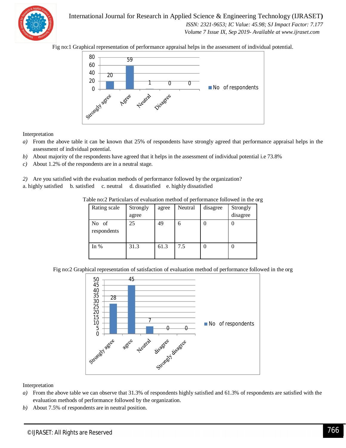

International Journal for Research in Applied Science & Engineering Technology (IJRASET**)**  *ISSN: 2321-9653; IC Value: 45.98; SJ Impact Factor: 7.177 Volume 7 Issue IX, Sep 2019- Available at www.ijraset.com*

Fig no:1 Graphical representation of performance appraisal helps in the assessment of individual potential.



Interpretation

- *a)* From the above table it can be known that 25% of respondents have strongly agreed that performance appraisal helps in the assessment of individual potential.
- *b)* About majority of the respondents have agreed that it helps in the assessment of individual potential i.e 73.8%
- *c)* About 1.2% of the respondents are in a neutral stage.

*2)* Are you satisfied with the evaluation methods of performance followed by the organization?

a. highly satisfied b. satisfied c. neutral d. dissatisfied e. highly dissatisfied

| Rating scale         | Strongly<br>agree | agree | Neutral | disagree | Strongly<br>disagree |
|----------------------|-------------------|-------|---------|----------|----------------------|
| No of<br>respondents | 25                | 49    | 6       |          |                      |
| In $%$               | 31.3              | 61.3  | 7.5     |          |                      |

Table no:2 Particulars of evaluation method of performance followed in the org

Fig no:2 Graphical representation of satisfaction of evaluation method of performance followed in the org



- *a)* From the above table we can observe that 31.3% of respondents highly satisfied and 61.3% of respondents are satisfied with the evaluation methods of performance followed by the organization.
- *b)* About 7.5% of respondents are in neutral position.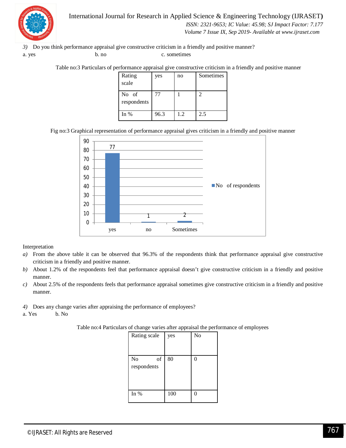

International Journal for Research in Applied Science & Engineering Technology (IJRASET**)**  *ISSN: 2321-9653; IC Value: 45.98; SJ Impact Factor: 7.177 Volume 7 Issue IX, Sep 2019- Available at www.ijraset.com*

*3)* Do you think performance appraisal give constructive criticism in a friendly and positive manner? a. yes b. no c. sometimes

Table no:3 Particulars of performance appraisal give constructive criticism in a friendly and positive manner

| Rating               | yes  | no  | <b>Sometimes</b>            |
|----------------------|------|-----|-----------------------------|
| scale                |      |     |                             |
| No of<br>respondents | 77   |     | $\mathcal{D}_{\mathcal{L}}$ |
| In $%$               | 96.3 | 1.2 | 2.5                         |

Fig no:3 Graphical representation of performance appraisal gives criticism in a friendly and positive manner



- *a)* From the above table it can be observed that 96.3% of the respondents think that performance appraisal give constructive criticism in a friendly and positive manner.
- *b)* About 1.2% of the respondents feel that performance appraisal doesn't give constructive criticism in a friendly and positive manner.
- *c)* About 2.5% of the respondents feels that performance appraisal sometimes give constructive criticism in a friendly and positive manner.
- *4)* Does any change varies after appraising the performance of employees?
- a. Yes b. No

| Table no:4 Particulars of change varies after appraisal the performance of employees |  |  |  |  |  |
|--------------------------------------------------------------------------------------|--|--|--|--|--|
|--------------------------------------------------------------------------------------|--|--|--|--|--|

| Rating scale         | yes | No |
|----------------------|-----|----|
|                      |     |    |
| N <sub>o</sub><br>of | 80  | 0  |
| respondents          |     |    |
|                      |     |    |
|                      |     |    |
|                      |     |    |
| In $%$               | 100 | 0  |
|                      |     |    |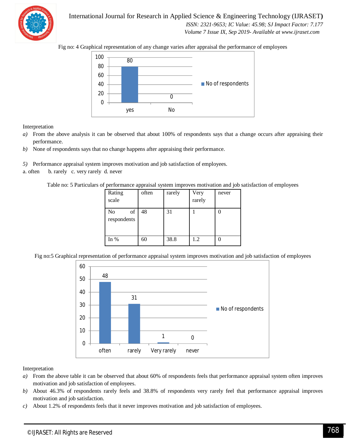

International Journal for Research in Applied Science & Engineering Technology (IJRASET**)**  *ISSN: 2321-9653; IC Value: 45.98; SJ Impact Factor: 7.177*

 *Volume 7 Issue IX, Sep 2019- Available at www.ijraset.com*

Fig no: 4 Graphical representation of any change varies after appraisal the performance of employees



Interpretation

- *a*) From the above analysis it can be observed that about 100% of respondents says that a change occurs after appraising their performance.
- *b)* None of respondents says that no change happens after appraising their performance.
- *5)* Performance appraisal system improves motivation and job satisfaction of employees.
- a. often b. rarely c. very rarely d. never

Table no: 5 Particulars of performance appraisal system improves motivation and job satisfaction of employees

| Rating<br>scale                | often | rarely | Very<br>rarely | never |
|--------------------------------|-------|--------|----------------|-------|
| <b>No</b><br>of<br>respondents | 48    | 31     |                |       |
| In $%$                         | 60    | 38.8   | 1.2            |       |

Fig no:5 Graphical representation of performance appraisal system improves motivation and job satisfaction of employees



- *a)* From the above table it can be observed that about 60% of respondents feels that performance appraisal system often improves motivation and job satisfaction of employees.
- *b)* About 46.3% of respondents rarely feels and 38.8% of respondents very rarely feel that performance appraisal improves motivation and job satisfaction.
- *c)* About 1.2% of respondents feels that it never improves motivation and job satisfaction of employees.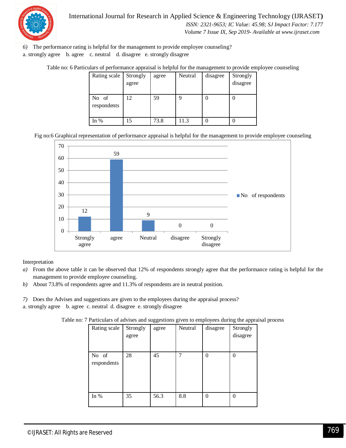

International Journal for Research in Applied Science & Engineering Technology (IJRASET**)**  *ISSN: 2321-9653; IC Value: 45.98; SJ Impact Factor: 7.177 Volume 7 Issue IX, Sep 2019- Available at www.ijraset.com*

*6)* The performance rating is helpful for the management to provide employee counseling? a. strongly agree b. agree c. neutral d. disagree e. strongly disagree

Table no: 6 Particulars of performance appraisal is helpful for the management to provide employee counseling

| Rating scale         | Strongly | agree | Neutral | disagree | Strongly |
|----------------------|----------|-------|---------|----------|----------|
|                      | agree    |       |         |          | disagree |
|                      |          |       |         |          |          |
| No of<br>respondents | 12       | 59    | q       |          |          |
| In $%$               | 15       | 73.8  | 11.3    |          |          |

Fig no:6 Graphical representation of performance appraisal is helpful for the management to provide employee counseling



Interpretation

- *a)* From the above table it can be observed that 12% of respondents strongly agree that the performance rating is helpful for the management to provide employee counseling.
- *b)* About 73.8% of respondents agree and 11.3% of respondents are in neutral position.

*7)* Does the Advises and suggestions are given to the employees during the appraisal process? a. strongly agree b. agree c. neutral d. disagree e. strongly disagree

Table no: 7 Particulars of advises and suggestions given to employees during the appraisal process

| Rating scale         | Strongly<br>agree | agree | Neutral | disagree | Strongly<br>disagree |
|----------------------|-------------------|-------|---------|----------|----------------------|
| No of<br>respondents | 28                | 45    | 7       | 0        | $\mathcal{O}$        |
| In %                 | 35                | 56.3  | 8.8     | $\Omega$ | 0                    |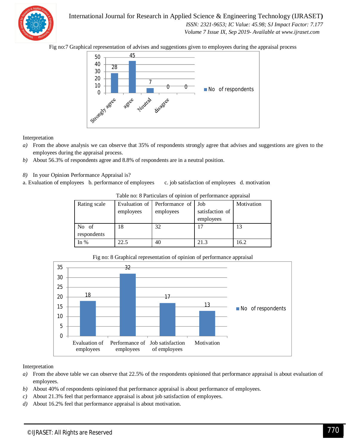

International Journal for Research in Applied Science & Engineering Technology (IJRASET**)**  *ISSN: 2321-9653; IC Value: 45.98; SJ Impact Factor: 7.177*

 *Volume 7 Issue IX, Sep 2019- Available at www.ijraset.com*

Fig no:7 Graphical representation of advises and suggestions given to employees during the appraisal process



Interpretation

- *a)* From the above analysis we can observe that 35% of respondents strongly agree that advises and suggestions are given to the employees during the appraisal process.
- *b)* About 56.3% of respondents agree and 8.8% of respondents are in a neutral position.
- *8)* In your Opinion Performance Appraisal is?
- a. Evaluation of employees b. performance of employees c. job satisfaction of employees d. motivation

| Rating scale | employees | Evaluation of Performance of Job<br>employees | satisfaction of | Motivation |
|--------------|-----------|-----------------------------------------------|-----------------|------------|
|              |           |                                               | employees       |            |
| No of        | 18        | 32                                            |                 | 13         |
| respondents  |           |                                               |                 |            |
| In $%$       | 22.5      | 40                                            | 21.3            | 16.2       |

Table no: 8 Particulars of opinion of performance appraisal



Fig no: 8 Graphical representation of opinion of performance appraisal

- *a)* From the above table we can observe that 22.5% of the respondents opinioned that performance appraisal is about evaluation of employees.
- *b)* About 40% of respondents opinioned that performance appraisal is about performance of employees.
- *c)* About 21.3% feel that performance appraisal is about job satisfaction of employees.
- *d)* About 16.2% feel that performance appraisal is about motivation.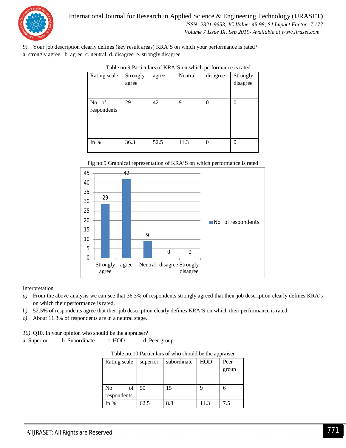

*9)* Your job description clearly defines (key result areas) KRA'S on which your performance is rated? a. strongly agree b. agree c. neutral d. disagree e. strongly disagree

| Rating scale         | Strongly<br>agree | ------<br>agree | Neutral | mon porrormano is raios<br>disagree | Strongly<br>disagree |
|----------------------|-------------------|-----------------|---------|-------------------------------------|----------------------|
| No of<br>respondents | 29                | 42              | 9       | $\Omega$                            | $\Omega$             |
| In $%$               | 36.3              | 52.5            | 11.3    | $\theta$                            | $\Omega$             |

Fig no:9 Graphical representation of KRA'S on which performance is rated



#### Interpretation

- *a)* From the above analysis we can see that 36.3% of respondents strongly agreed that their job description clearly defines KRA's on which their performance is rated.
- *b)* 52.5% of respondents agree that their job description clearly defines KRA'S on which their performance is rated.
- *c)* About 11.3% of respondents are in a neutral stage.

*10)* Q10. In your opinion who should be the appraiser?

a. Superior b. Subordinate c. HOD d. Peer group

| Table no:10 Particulars of who should be the appraiser |  |
|--------------------------------------------------------|--|
|--------------------------------------------------------|--|

|                      |          |             | . .        |       |  |
|----------------------|----------|-------------|------------|-------|--|
| Rating scale         | superior | subordinate | <b>HOD</b> | Peer  |  |
|                      |          |             |            | group |  |
|                      |          |             |            |       |  |
| of<br>N <sub>o</sub> | 50       | 15          |            |       |  |
| respondents          |          |             |            |       |  |
| In %                 | 62.5     | 8.8         | 11.3       | 7.5   |  |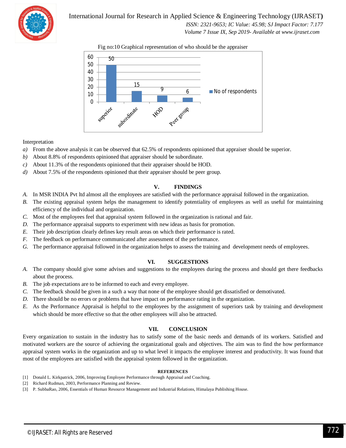

International Journal for Research in Applied Science & Engineering Technology (IJRASET**)**

 *ISSN: 2321-9653; IC Value: 45.98; SJ Impact Factor: 7.177*

 *Volume 7 Issue IX, Sep 2019- Available at www.ijraset.com*





#### Interpretation

- *a)* From the above analysis it can be observed that 62.5% of respondents opinioned that appraiser should be superior.
- *b)* About 8.8% of respondents opinioned that appraiser should be subordinate.
- *c)* About 11.3% of the respondents opinioned that their appraiser should be HOD.
- *d*) About 7.5% of the respondents opinioned that their appraiser should be peer group.

#### **V. FINDINGS**

- *A.* In MSR INDIA Pvt ltd almost all the employees are satisfied with the performance appraisal followed in the organization.
- *B.* The existing appraisal system helps the management to identify potentiality of employees as well as useful for maintaining efficiency of the individual and organization.
- *C.* Most of the employees feel that appraisal system followed in the organization is rational and fair.
- *D.* The performance appraisal supports to experiment with new ideas as basis for promotion.
- *E.* Their job description clearly defines key result areas on which their performance is rated.
- *F.* The feedback on performance communicated after assessment of the performance.
- *G.* The performance appraisal followed in the organization helps to assess the training and development needs of employees.

#### **VI. SUGGESTIONS**

- *A.* The company should give some advises and suggestions to the employees during the process and should get there feedbacks about the process.
- *B.* The job expectations are to be informed to each and every employee.
- *C.* The feedback should be given in a such a way that none of the employee should get dissatisfied or demotivated.
- *D.* There should be no errors or problems that have impact on performance rating in the organization.
- *E.* As the Performance Appraisal is helpful to the employees by the assignment of superiors task by training and development which should be more effective so that the other employees will also be attracted.

#### **VII. CONCLUSION**

Every organization to sustain in the industry has to satisfy some of the basic needs and demands of its workers. Satisfied and motivated workers are the source of achieving the organizational goals and objectives. The aim was to find the how performance appraisal system works in the organization and up to what level it impacts the employee interest and productivity. It was found that most of the employees are satisfied with the appraisal system followed in the organization.

#### **REFERENCES**

- [1] Donald L. Kirkpatrick, 2006, Improving Employee Performance through Appraisal and Coaching.
- [2] Richard Rudman, 2003, Performance Planning and Review.
- [3] P. SubbaRao, 2006, Essentials of Human Resource Management and Industrial Relations, Himalaya Publishing House.